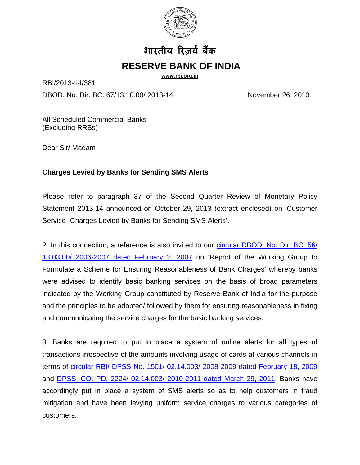

# भारतीय रिज़र्व बैंक

## **\_\_\_\_\_\_\_\_\_\_ RESERVE BANK OF INDIA\_\_\_\_\_\_\_\_\_\_**

**[www.rbi.org.in](http://www.rbi.org.in/)**

RBI/2013-14/381

DBOD. No. Dir. BC. 67/13.10.00/ 2013-14 November 26, 2013

All Scheduled Commercial Banks (Excluding RRBs)

Dear Sir/ Madam

#### **Charges Levied by Banks for Sending SMS Alerts**

Please refer to paragraph 37 of the Second Quarter Review of Monetary Policy Statement 2013-14 announced on October 29, 2013 (extract enclosed) on 'Customer Service- Charges Levied by Banks for Sending SMS Alerts'.

2. In this connection, a reference is also invited to our circular DBOD. No. Dir. BC. 56/ [13.03.00/ 2006-2007 dated February 2, 2007](http://rbi.org.in/scripts/NotificationUser.aspx?Id=3268&Mode=0) on 'Report of the Working Group to Formulate a Scheme for Ensuring Reasonableness of Bank Charges' whereby banks were advised to identify basic banking services on the basis of broad parameters indicated by the Working Group constituted by Reserve Bank of India for the purpose and the principles to be adopted/ followed by them for ensuring reasonableness in fixing and communicating the service charges for the basic banking services.

3. Banks are required to put in place a system of online alerts for all types of transactions irrespective of the amounts involving usage of cards at various channels in terms of [circular RBI/ DPSS No. 1501/ 02.14.003/ 2008-2009 dated February 18, 2009](http://rbi.org.in/scripts/NotificationUser.aspx?Id=4844&Mode=0) and [DPSS. CO. PD. 2224/ 02.14.003/ 2010-2011 dated March 29, 2011.](http://rbi.org.in/scripts/NotificationUser.aspx?Id=6309&Mode=0) Banks have accordingly put in place a system of SMS alerts so as to help customers in fraud mitigation and have been levying uniform service charges to various categories of customers.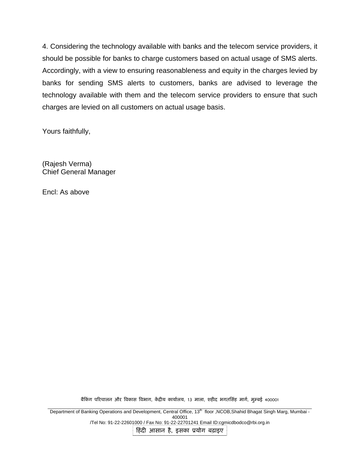4. Considering the technology available with banks and the telecom service providers, it should be possible for banks to charge customers based on actual usage of SMS alerts. Accordingly, with a view to ensuring reasonableness and equity in the charges levied by banks for sending SMS alerts to customers, banks are advised to leverage the technology available with them and the telecom service providers to ensure that such charges are levied on all customers on actual usage basis.

Yours faithfully,

(Rajesh Verma) Chief General Manager

Encl: As above

बैकिंग परिचालन और विकास विभाग, केंद्रीय कार्यालय, 13 माला, शहीद भगतसिंह मार्ग, मुम्बई 400001

\_\_\_\_\_\_\_\_\_\_\_\_\_\_\_\_\_\_\_\_\_\_\_\_\_\_\_\_\_\_\_\_\_\_\_\_\_\_\_\_\_\_\_\_\_\_\_\_\_\_\_\_\_\_\_\_\_\_\_\_\_\_\_\_\_\_\_\_\_\_\_\_\_\_\_\_\_\_\_\_\_\_\_\_\_\_\_\_\_\_\_\_\_\_\_\_\_\_\_\_\_ Department of Banking Operations and Development, Central Office, 13th floor ,NCOB,Shahid Bhagat Singh Marg, Mumbai - 400001 /Tel No: 91-22-22601000 / Fax No: 91-22-22701241 Email ID:cgmicdbodco@rbi.org.in

िहंदी आसान है, इसका ूयोग बढ़ाइए